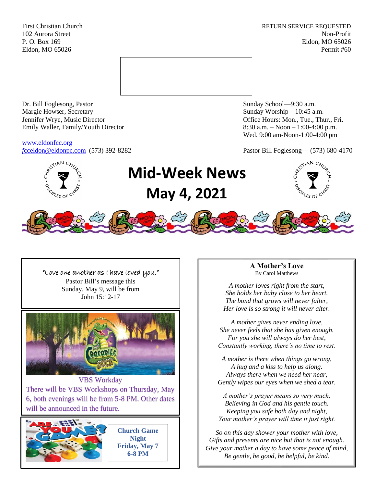First Christian Church **RETURN SERVICE REQUESTED** 102 Aurora Street Non-Profit P. O. Box 169 Eldon, MO 65026 Eldon, MO 65026 Permit #60



Dr. Bill Foglesong, Pastor Sunday School—9:30 a.m. Margie Howser, Secretary Sunday Worship—10:45 a.m. Jennifer Wrye, Music Director Office Hours: Mon., Tue., Thur., Fri. Emily Waller, Family/Youth Director 8:30 a.m. – Noon – 1:00-4:00 p.m.

[www.eldonfcc.org](http://www.eldonfcc.org/)

Wed. 9:00 am-Noon-1:00-4:00 pm

*f*[cceldon@eldonpc.com](mailto:fcceldon@eldonpc.com) (573) 392-8282 Pastor Bill Foglesong— (573) 680-4170



# **Mid-Week News May 4, 2021**





"Love one another as I have loved you." Pastor Bill's message this Sunday, May 9, will be from John 15:12-17 POCODILA VBS Workday There will be VBS Workshops on Thursday, May 6, both evenings will be from 5-8 PM. Other dates will be announced in the future. **Church Game Night**

**Friday, May 7 6-8 PM**

**A Mother's Love** By Carol Matthews

*A mother loves right from the start, She holds her baby close to her heart. The bond that grows will never falter, Her love is so strong it will never alter.*

*A mother gives never ending love, She never feels that she has given enough. For you she will always do her best, Constantly working, there's no time to rest.*

*A mother is there when things go wrong, A hug and a kiss to help us along. Always there when we need her near, Gently wipes our eyes when we shed a tear.*

*A mother's prayer means so very much, Believing in God and his gentle touch. Keeping you safe both day and night, Your mother's prayer will time it just right.*

*So on this day shower your mother with love, Gifts and presents are nice but that is not enough. Give your mother a day to have some peace of mind, Be gentle, be good, be helpful, be kind.*